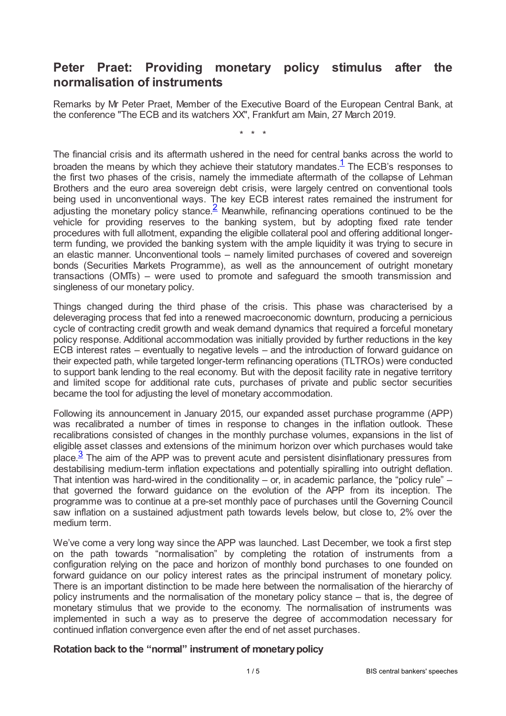## **Peter Praet: Providing monetary policy stimulus after the normalisation of instruments**

Remarks by Mr Peter Praet, Member of the Executive Board of the European Central Bank, at the conference "The ECB and its watchers XX", Frankfurt am Main, 27 March 2019.

<span id="page-0-1"></span><span id="page-0-0"></span>\* \* \*

The financial crisis and its aftermath ushered in the need for central banks across the world to broaden the means by which they achieve their statutory mandates. $<sup>1</sup>$  $<sup>1</sup>$  $<sup>1</sup>$  The ECB's responses to</sup> the first two phases of the crisis, namely the immediate aftermath of the collapse of Lehman Brothers and the euro area sovereign debt crisis, were largely centred on conventional tools being used in unconventional ways. The key ECB interest rates remained the instrument for adjusting the monetary policy stance.  $\frac{2}{3}$  $\frac{2}{3}$  $\frac{2}{3}$  Meanwhile, refinancing operations continued to be the vehicle for providing reserves to the banking system, but by adopting fixed rate tender procedures with full allotment, expanding the eligible collateral pool and offering additional longerterm funding, we provided the banking system with the ample liquidity it was trying to secure in an elastic manner. Unconventional tools – namely limited purchases of covered and sovereign bonds (Securities Markets Programme), as well as the announcement of outright monetary transactions (OMTs) – were used to promote and safeguard the smooth transmission and singleness of our monetary policy.

Things changed during the third phase of the crisis. This phase was characterised by a deleveraging process that fed into a renewed macroeconomic downturn, producing a pernicious cycle of contracting credit growth and weak demand dynamics that required a forceful monetary policy response. Additional accommodation was initially provided by further reductions in the key ECB interest rates – eventually to negative levels – and the introduction of forward guidance on their expected path, while targeted longer-term refinancing operations (TLTROs) were conducted to support bank lending to the real economy. But with the deposit facility rate in negative territory and limited scope for additional rate cuts, purchases of private and public sector securities became the tool for adjusting the level of monetary accommodation.

<span id="page-0-2"></span>Following its announcement in January 2015, our expanded asset purchase programme (APP) was recalibrated a number of times in response to changes in the inflation outlook. These recalibrations consisted of changes in the monthly purchase volumes, expansions in the list of eligible asset classes and extensions of the minimum horizon over which purchases would take place.<sup>[3](#page-4-2)</sup> The aim of the APP was to prevent acute and persistent disinflationary pressures from destabilising medium-term inflation expectations and potentially spiralling into outright deflation. That intention was hard-wired in the conditionality – or, in academic parlance, the "policy rule" – that governed the forward guidance on the evolution of the APP from its inception. The programme was to continue at a pre-set monthly pace of purchases until the Governing Council saw inflation on a sustained adjustment path towards levels below, but close to, 2% over the medium term.

We've come a very long way since the APP was launched. Last December, we took a first step on the path towards "normalisation" by completing the rotation of instruments from a configuration relying on the pace and horizon of monthly bond purchases to one founded on forward guidance on our policy interest rates as the principal instrument of monetary policy. There is an important distinction to be made here between the normalisation of the hierarchy of policy instruments and the normalisation of the monetary policy stance – that is, the degree of monetary stimulus that we provide to the economy. The normalisation of instruments was implemented in such a way as to preserve the degree of accommodation necessary for continued inflation convergence even after the end of net asset purchases.

## **Rotation back to the "normal" instrument of monetarypolicy**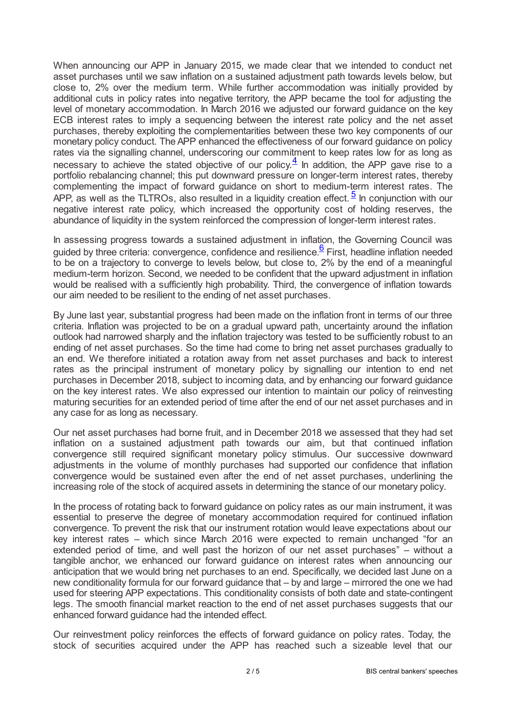When announcing our APP in January 2015, we made clear that we intended to conduct net asset purchases until we saw inflation on a sustained adjustment path towards levels below, but close to, 2% over the medium term. While further accommodation was initially provided by additional cuts in policy rates into negative territory, the APP became the tool for adjusting the level of monetary accommodation. In March 2016 we adjusted our forward guidance on the key ECB interest rates to imply a sequencing between the interest rate policy and the net asset purchases, thereby exploiting the complementarities between these two key components of our monetary policy conduct. The APP enhanced the effectiveness of our forward guidance on policy rates via the signalling channel, underscoring our commitment to keep rates low for as long as necessary to achieve the stated objective of our policy. $\frac{4}{5}$  $\frac{4}{5}$  $\frac{4}{5}$  In addition, the APP gave rise to a portfolio rebalancing channel; this put downward pressure on longer-term interest rates, thereby complementing the impact of forward guidance on short to medium-term interest rates. The APP, as well as the TLTROs, also resulted in a liquidity creation effect.  $\frac{5}{5}$  $\frac{5}{5}$  $\frac{5}{5}$  In conjunction with our negative interest rate policy, which increased the opportunity cost of holding reserves, the abundance of liquidity in the system reinforced the compression of longer-term interest rates.

<span id="page-1-2"></span><span id="page-1-1"></span><span id="page-1-0"></span>In assessing progress towards a sustained adjustment in inflation, the Governing Council was guided by three criteria: convergence, confidence and resilience.<sup>[6](#page-4-5)</sup> First, headline inflation needed to be on a trajectory to converge to levels below, but close to, 2% by the end of a meaningful medium-term horizon. Second, we needed to be confident that the upward adjustment in inflation would be realised with a sufficiently high probability. Third, the convergence of inflation towards our aim needed to be resilient to the ending of net asset purchases.

By June last year, substantial progress had been made on the inflation front in terms of our three criteria. Inflation was projected to be on a gradual upward path, uncertainty around the inflation outlook had narrowed sharply and the inflation trajectory was tested to be sufficiently robust to an ending of net asset purchases. So the time had come to bring net asset purchases gradually to an end. We therefore initiated a rotation away from net asset purchases and back to interest rates as the principal instrument of monetary policy by signalling our intention to end net purchases in December 2018, subject to incoming data, and by enhancing our forward guidance on the key interest rates. We also expressed our intention to maintain our policy of reinvesting maturing securities for an extended period of time after the end of our net asset purchases and in any case for as long as necessary.

Our net asset purchases had borne fruit, and in December 2018 we assessed that they had set inflation on a sustained adjustment path towards our aim, but that continued inflation convergence still required significant monetary policy stimulus. Our successive downward adjustments in the volume of monthly purchases had supported our confidence that inflation convergence would be sustained even after the end of net asset purchases, underlining the increasing role of the stock of acquired assets in determining the stance of our monetary policy.

In the process of rotating back to forward guidance on policy rates as our main instrument, it was essential to preserve the degree of monetary accommodation required for continued inflation convergence. To prevent the risk that our instrument rotation would leave expectations about our key interest rates – which since March 2016 were expected to remain unchanged "for an extended period of time, and well past the horizon of our net asset purchases" – without a tangible anchor, we enhanced our forward guidance on interest rates when announcing our anticipation that we would bring net purchases to an end. Specifically, we decided last June on a new conditionality formula for our forward guidance that – by and large – mirrored the one we had used for steering APP expectations. This conditionality consists of both date and state-contingent legs. The smooth financial market reaction to the end of net asset purchases suggests that our enhanced forward guidance had the intended effect.

Our reinvestment policy reinforces the effects of forward guidance on policy rates. Today, the stock of securities acquired under the APP has reached such a sizeable level that our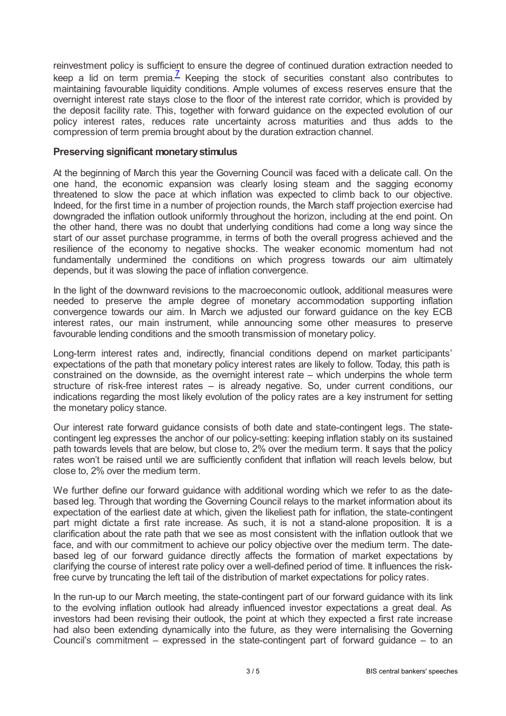<span id="page-2-0"></span>reinvestment policy is sufficient to ensure the degree of continued duration extraction needed to keep a lid on term premia.<sup> $Z$ </sup> Keeping the stock of securities constant also contributes to maintaining favourable liquidity conditions. Ample volumes of excess reserves ensure that the overnight interest rate stays close to the floor of the interest rate corridor, which is provided by the deposit facility rate. This, together with forward guidance on the expected evolution of our policy interest rates, reduces rate uncertainty across maturities and thus adds to the compression of term premia brought about by the duration extraction channel.

## **Preserving significant monetarystimulus**

At the beginning of March this year the Governing Council was faced with a delicate call. On the one hand, the economic expansion was clearly losing steam and the sagging economy threatened to slow the pace at which inflation was expected to climb back to our objective. Indeed, for the first time in a number of projection rounds, the March staff projection exercise had downgraded the inflation outlook uniformly throughout the horizon, including at the end point. On the other hand, there was no doubt that underlying conditions had come a long way since the start of our asset purchase programme, in terms of both the overall progress achieved and the resilience of the economy to negative shocks. The weaker economic momentum had not fundamentally undermined the conditions on which progress towards our aim ultimately depends, but it was slowing the pace of inflation convergence.

In the light of the downward revisions to the macroeconomic outlook, additional measures were needed to preserve the ample degree of monetary accommodation supporting inflation convergence towards our aim. In March we adjusted our forward guidance on the key ECB interest rates, our main instrument, while announcing some other measures to preserve favourable lending conditions and the smooth transmission of monetary policy.

Long-term interest rates and, indirectly, financial conditions depend on market participants' expectations of the path that monetary policy interest rates are likely to follow. Today, this path is constrained on the downside, as the overnight interest rate – which underpins the whole term structure of risk-free interest rates – is already negative. So, under current conditions, our indications regarding the most likely evolution of the policy rates are a key instrument for setting the monetary policy stance.

Our interest rate forward guidance consists of both date and state-contingent legs. The statecontingent leg expresses the anchor of our policy-setting: keeping inflation stably on its sustained path towards levels that are below, but close to, 2% over the medium term. It says that the policy rates won't be raised until we are sufficiently confident that inflation will reach levels below, but close to, 2% over the medium term.

We further define our forward guidance with additional wording which we refer to as the datebased leg. Through that wording the Governing Council relays to the market information about its expectation of the earliest date at which, given the likeliest path for inflation, the state-contingent part might dictate a first rate increase. As such, it is not a stand-alone proposition. It is a clarification about the rate path that we see as most consistent with the inflation outlook that we face, and with our commitment to achieve our policy objective over the medium term. The datebased leg of our forward guidance directly affects the formation of market expectations by clarifying the course of interest rate policy over a well-defined period of time. It influences the riskfree curve by truncating the left tail of the distribution of market expectations for policy rates.

In the run-up to our March meeting, the state-contingent part of our forward guidance with its link to the evolving inflation outlook had already influenced investor expectations a great deal. As investors had been revising their outlook, the point at which they expected a first rate increase had also been extending dynamically into the future, as they were internalising the Governing Council's commitment – expressed in the state-contingent part of forward guidance – to an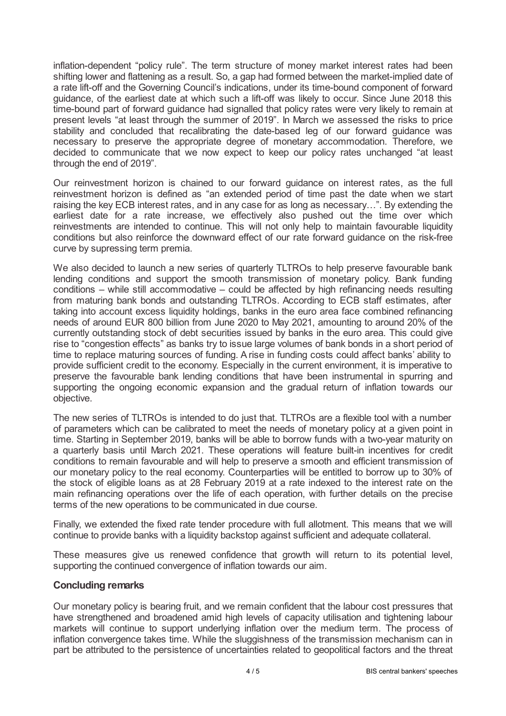inflation-dependent "policy rule". The term structure of money market interest rates had been shifting lower and flattening as a result. So, a gap had formed between the market-implied date of a rate lift-off and the Governing Council's indications, under its time-bound component of forward guidance, of the earliest date at which such a lift-off was likely to occur. Since June 2018 this time-bound part of forward guidance had signalled that policy rates were very likely to remain at present levels "at least through the summer of 2019". In March we assessed the risks to price stability and concluded that recalibrating the date-based leg of our forward guidance was necessary to preserve the appropriate degree of monetary accommodation. Therefore, we decided to communicate that we now expect to keep our policy rates unchanged "at least through the end of 2019".

Our reinvestment horizon is chained to our forward guidance on interest rates, as the full reinvestment horizon is defined as "an extended period of time past the date when we start raising the key ECB interest rates, and in any case for as long as necessary…". By extending the earliest date for a rate increase, we effectively also pushed out the time over which reinvestments are intended to continue. This will not only help to maintain favourable liquidity conditions but also reinforce the downward effect of our rate forward guidance on the risk-free curve by supressing term premia.

We also decided to launch a new series of quarterly TLTROs to help preserve favourable bank lending conditions and support the smooth transmission of monetary policy. Bank funding conditions – while still accommodative – could be affected by high refinancing needs resulting from maturing bank bonds and outstanding TLTROs. According to ECB staff estimates, after taking into account excess liquidity holdings, banks in the euro area face combined refinancing needs of around EUR 800 billion from June 2020 to May 2021, amounting to around 20% of the currently outstanding stock of debt securities issued by banks in the euro area. This could give rise to "congestion effects" as banks try to issue large volumes of bank bonds in a short period of time to replace maturing sources of funding. A rise in funding costs could affect banks' ability to provide sufficient credit to the economy. Especially in the current environment, it is imperative to preserve the favourable bank lending conditions that have been instrumental in spurring and supporting the ongoing economic expansion and the gradual return of inflation towards our objective.

The new series of TLTROs is intended to do just that. TLTROs are a flexible tool with a number of parameters which can be calibrated to meet the needs of monetary policy at a given point in time. Starting in September 2019, banks will be able to borrow funds with a two-year maturity on a quarterly basis until March 2021. These operations will feature built-in incentives for credit conditions to remain favourable and will help to preserve a smooth and efficient transmission of our monetary policy to the real economy. Counterparties will be entitled to borrow up to 30% of the stock of eligible loans as at 28 February 2019 at a rate indexed to the interest rate on the main refinancing operations over the life of each operation, with further details on the precise terms of the new operations to be communicated in due course.

Finally, we extended the fixed rate tender procedure with full allotment. This means that we will continue to provide banks with a liquidity backstop against sufficient and adequate collateral.

These measures give us renewed confidence that growth will return to its potential level, supporting the continued convergence of inflation towards our aim.

## **Concluding remarks**

Our monetary policy is bearing fruit, and we remain confident that the labour cost pressures that have strengthened and broadened amid high levels of capacity utilisation and tightening labour markets will continue to support underlying inflation over the medium term. The process of inflation convergence takes time. While the sluggishness of the transmission mechanism can in part be attributed to the persistence of uncertainties related to geopolitical factors and the threat